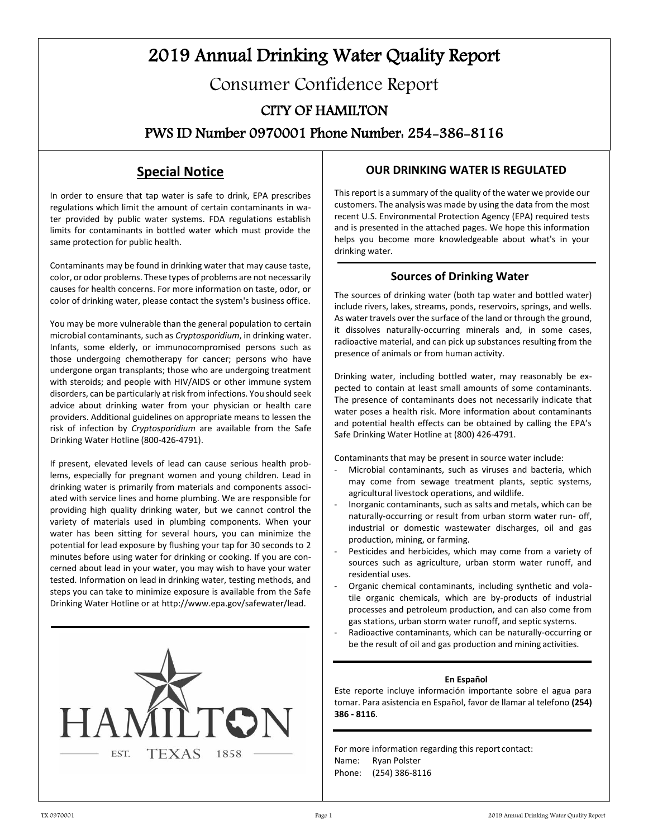# 2019 Annual Drinking Water Quality Report Consumer Confidence Report CITY OF HAMILTON

PWS ID Number 0970001 Phone Number: 254-386-8116

# **Special Notice**

In order to ensure that tap water is safe to drink, EPA prescribes regulations which limit the amount of certain contaminants in water provided by public water systems. FDA regulations establish limits for contaminants in bottled water which must provide the same protection for public health.

Contaminants may be found in drinking water that may cause taste, color, or odor problems. These types of problems are not necessarily causes for health concerns. For more information on taste, odor, or color of drinking water, please contact the system's business office.

You may be more vulnerable than the general population to certain microbial contaminants, such as *Cryptosporidium*, in drinking water. Infants, some elderly, or immunocompromised persons such as those undergoing chemotherapy for cancer; persons who have undergone organ transplants; those who are undergoing treatment with steroids; and people with HIV/AIDS or other immune system disorders, can be particularly at risk from infections. You should seek advice about drinking water from your physician or health care providers. Additional guidelines on appropriate means to lessen the risk of infection by *Cryptosporidium* are available from the Safe Drinking Water Hotline (800-426-4791).

If present, elevated levels of lead can cause serious health problems, especially for pregnant women and young children. Lead in drinking water is primarily from materials and components associated with service lines and home plumbing. We are responsible for providing high quality drinking water, but we cannot control the variety of materials used in plumbing components. When your water has been sitting for several hours, you can minimize the potential for lead exposure by flushing your tap for 30 seconds to 2 minutes before using water for drinking or cooking. If you are concerned about lead in your water, you may wish to have your water tested. Information on lead in drinking water, testing methods, and steps you can take to minimize exposure is available from the Safe Drinking Water Hotline or at [http://www.epa.gov/safewater/lead.](http://www.epa.gov/safewater/lead)



#### **OUR DRINKING WATER IS REGULATED**

This report is a summary of the quality of the water we provide our customers. The analysis was made by using the data from the most recent U.S. Environmental Protection Agency (EPA) required tests and is presented in the attached pages. We hope this information helps you become more knowledgeable about what's in your drinking water.

#### **Sources of Drinking Water**

The sources of drinking water (both tap water and bottled water) include rivers, lakes, streams, ponds, reservoirs, springs, and wells. As water travels over the surface of the land or through the ground, it dissolves naturally-occurring minerals and, in some cases, radioactive material, and can pick up substances resulting from the presence of animals or from human activity.

Drinking water, including bottled water, may reasonably be expected to contain at least small amounts of some contaminants. The presence of contaminants does not necessarily indicate that water poses a health risk. More information about contaminants and potential health effects can be obtained by calling the EPA's Safe Drinking Water Hotline at (800) 426-4791.

Contaminants that may be present in source water include:

- Microbial contaminants, such as viruses and bacteria, which may come from sewage treatment plants, septic systems, agricultural livestock operations, and wildlife.
- Inorganic contaminants, such as salts and metals, which can be naturally-occurring or result from urban storm water run- off, industrial or domestic wastewater discharges, oil and gas production, mining, or farming.
- Pesticides and herbicides, which may come from a variety of sources such as agriculture, urban storm water runoff, and residential uses.
- Organic chemical contaminants, including synthetic and volatile organic chemicals, which are by-products of industrial processes and petroleum production, and can also come from gas stations, urban storm water runoff, and septic systems.
- Radioactive contaminants, which can be naturally-occurring or be the result of oil and gas production and mining activities.

#### **En Español**

Este reporte incluye información importante sobre el agua para tomar. Para asistencia en Español, favor de llamar al telefono **(254) 386 - 8116**.

For more information regarding this report contact: Name: Ryan Polster Phone: (254) 386-8116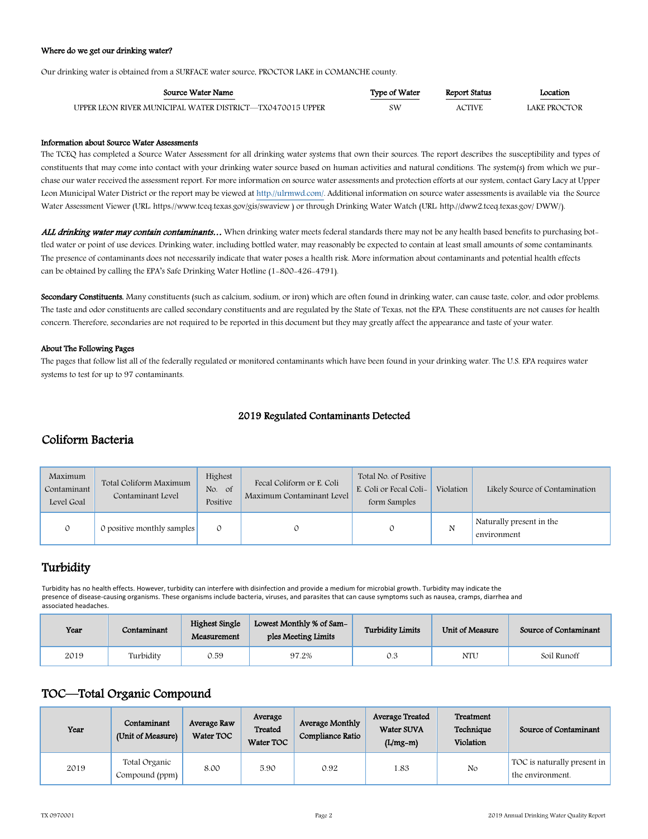#### Where do we get our drinking water?

Our drinking water is obtained from a SURFACE water source, PROCTOR LAKE in COMANCHE county.

| Source Water Name                                         | Type of Water | Report Status | Location<br><u> 1980 - Johann Barnett, fransk politiker (</u> |
|-----------------------------------------------------------|---------------|---------------|---------------------------------------------------------------|
| UPPER LEON RIVER MUNICIPAL WATER DISTRICT—TX0470015 UPPER | sw            | <b>ACTIVE</b> | LAKE PROCTOR                                                  |

#### Information about Source Water Assessments

The TCEQ has completed a Source Water Assessment for all drinking water systems that own their sources. The report describes the susceptibility and types of constituents that may come into contact with your drinking water source based on human activities and natural conditions. The system(s) from which we purchase our water received the assessment report. For more information on source water assessments and protection efforts at our system, contact Gary Lacy at Upper Leon Municipal Water District or the report may be viewed a[t http://ulrmwd.com/.](http://ulrmwd.com/) Additional information on source water assessments is available via the Source Water Assessment Viewer (URL: https:/[/www.tceq.texas.gov/gis/swaview](http://www.tceq.texas.gov/gis/swaview) ) or through Drinking Water Watch (URL[: http://dww2.tceq.texas.gov/](http://dww2.tceq.texas.gov/) DWW/).

ALL drinking water may contain contaminants... When drinking water meets federal standards there may not be any health based benefits to purchasing bottled water or point of use devices. Drinking water, including bottled water, may reasonably be expected to contain at least small amounts of some contaminants. The presence of contaminants does not necessarily indicate that water poses a health risk. More information about contaminants and potential health effects can be obtained by calling the EPA's Safe Drinking Water Hotline (1-800-426-4791).

Secondary Constituents. Many constituents (such as calcium, sodium, or iron) which are often found in drinking water, can cause taste, color, and odor problems. The taste and odor constituents are called secondary constituents and are regulated by the State of Texas, not the EPA. These constituents are not causes for health concern. Therefore, secondaries are not required to be reported in this document but they may greatly affect the appearance and taste of your water.

#### About The Following Pages

The pages that follow list all of the federally regulated or monitored contaminants which have been found in your drinking water. The U.S. EPA requires water systems to test for up to 97 contaminants.

#### 2019 Regulated Contaminants Detected

#### Coliform Bacteria

| Maximum<br>Contaminant<br>Level Goal | Total Coliform Maximum<br>Contaminant Level | Highest<br>No.<br>$\circ$ of<br>Positive | Fecal Coliform or E. Coli<br>Maximum Contaminant Level | Total No. of Positive<br>E. Coli or Fecal Coli-<br>form Samples | Violation | Likely Source of Contamination          |
|--------------------------------------|---------------------------------------------|------------------------------------------|--------------------------------------------------------|-----------------------------------------------------------------|-----------|-----------------------------------------|
|                                      | 0 positive monthly samples                  |                                          |                                                        |                                                                 | N         | Naturally present in the<br>environment |

## **Turbidity**

Turbidity has no health effects. However, turbidity can interfere with disinfection and provide a medium for microbial growth. Turbidity may indicate the presence of disease-causing organisms. These organisms include bacteria, viruses, and parasites that can cause symptoms such as nausea, cramps, diarrhea and associated headaches.

| Year | Contaminant | <b>Highest Single</b><br>Measurement | Lowest Monthly % of Sam-<br>ples Meeting Limits | <b>Turbidity Limits</b> | Unit of Measure | Source of Contaminant |
|------|-------------|--------------------------------------|-------------------------------------------------|-------------------------|-----------------|-----------------------|
| 2019 | Turbidity   | 0.59                                 | 97.2%                                           | 0.3                     | <b>NTU</b>      | Soil Runoff           |

## TOC—Total Organic Compound

| Year | Contaminant<br>(Unit of Measure) | Average Raw<br>Water TOC | Average<br>Treated<br>Water TOC | Average Monthly<br>Compliance Ratio | Average Treated<br>Water SUVA<br>$(L/mg-m)$ | Treatment<br>Technique<br>Violation | Source of Contaminant                           |
|------|----------------------------------|--------------------------|---------------------------------|-------------------------------------|---------------------------------------------|-------------------------------------|-------------------------------------------------|
| 2019 | Total Organic<br>Compound (ppm)  | 8.00                     | 5.90                            | 0.92                                | 1.83                                        | No                                  | TOC is naturally present in<br>the environment. |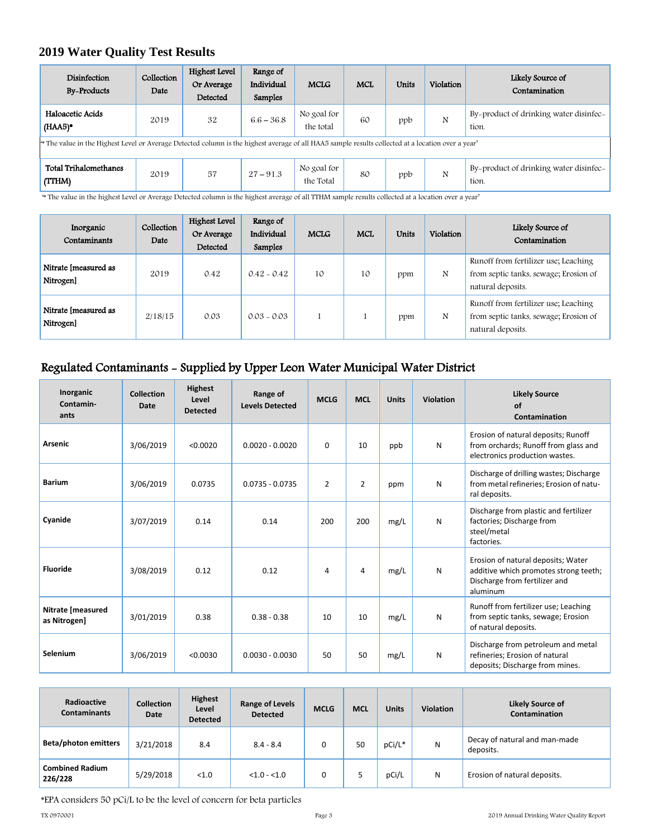## **2019 Water Quality Test Results**

| Disinfection<br><b>By-Products</b>                                                                                                                            | Collection<br>Date | Highest Level<br>Or Average<br>Detected | Range of<br>Individual<br>Samples | <b>MCLG</b>              | <b>MCL</b> | <b>Units</b> | Violation | Likely Source of<br>Contamination               |
|---------------------------------------------------------------------------------------------------------------------------------------------------------------|--------------------|-----------------------------------------|-----------------------------------|--------------------------|------------|--------------|-----------|-------------------------------------------------|
| Haloacetic Acids<br>$(HAA5)$ <sup>*</sup>                                                                                                                     | 2019               | 32                                      | $6.6 - 36.8$                      | No goal for<br>the total | 60         | ppb          | N         | By-product of drinking water disinfec-<br>tion. |
| <sup>4</sup> The value in the Highest Level or Average Detected column is the highest average of all HAA5 sample results collected at a location over a year' |                    |                                         |                                   |                          |            |              |           |                                                 |
| Total Trihalomethanes<br>(TTHM)                                                                                                                               | 2019               | 57                                      | $27 - 91.3$                       | No goal for<br>the Total | 80         | ppb          | N         | By-product of drinking water disinfec<br>tion.  |

'\* The value in the highest Level or Average Detected column is the highest average of all TTHM sample results collected at a location over a year'

| Inorganic<br>Contaminants         | Collection<br>Date | Highest Level<br>Or Average<br>Detected | Range of<br>Individual<br>Samples | <b>MCLG</b> | <b>MCL</b> | <b>Units</b> | Violation | Likely Source of<br>Contamination                                                                  |
|-----------------------------------|--------------------|-----------------------------------------|-----------------------------------|-------------|------------|--------------|-----------|----------------------------------------------------------------------------------------------------|
| Nitrate [measured as<br>Nitrogen] | 2019               | 0.42                                    | $0.42 - 0.42$                     | 10          | 10         | ppm          | N         | Runoff from fertilizer use; Leaching<br>from septic tanks, sewage; Erosion of<br>natural deposits. |
| Nitrate [measured as<br>Nitrogen] | 2/18/15            | 0.03                                    | $0.03 - 0.03$                     |             |            | ppm          | N         | Runoff from fertilizer use; Leaching<br>from septic tanks, sewage; Erosion of<br>natural deposits. |

## Regulated Contaminants - Supplied by Upper Leon Water Municipal Water District

| Inorganic<br>Contamin-<br>ants    | <b>Collection</b><br>Date | <b>Highest</b><br>Level<br><b>Detected</b> | Range of<br><b>Levels Detected</b> | <b>MCLG</b>    | <b>MCL</b>     | <b>Units</b> | Violation | <b>Likely Source</b><br>of<br>Contamination                                                                              |
|-----------------------------------|---------------------------|--------------------------------------------|------------------------------------|----------------|----------------|--------------|-----------|--------------------------------------------------------------------------------------------------------------------------|
| <b>Arsenic</b>                    | 3/06/2019                 | < 0.0020                                   | $0.0020 - 0.0020$                  | $\Omega$       | 10             | ppb          | N         | Erosion of natural deposits; Runoff<br>from orchards; Runoff from glass and<br>electronics production wastes.            |
| <b>Barium</b>                     | 3/06/2019                 | 0.0735                                     | $0.0735 - 0.0735$                  | $\overline{2}$ | $\overline{2}$ | ppm          | N         | Discharge of drilling wastes; Discharge<br>from metal refineries; Erosion of natu-<br>ral deposits.                      |
| Cyanide                           | 3/07/2019                 | 0.14                                       | 0.14                               | 200            | 200            | mg/L         | N         | Discharge from plastic and fertilizer<br>factories; Discharge from<br>steel/metal<br>factories.                          |
| <b>Fluoride</b>                   | 3/08/2019                 | 0.12                                       | 0.12                               | 4              | 4              | mg/L         | N         | Erosion of natural deposits; Water<br>additive which promotes strong teeth;<br>Discharge from fertilizer and<br>aluminum |
| Nitrate [measured<br>as Nitrogen] | 3/01/2019                 | 0.38                                       | $0.38 - 0.38$                      | 10             | 10             | mg/L         | N         | Runoff from fertilizer use; Leaching<br>from septic tanks, sewage; Erosion<br>of natural deposits.                       |
| Selenium                          | 3/06/2019                 | < 0.0030                                   | $0.0030 - 0.0030$                  | 50             | 50             | mg/L         | N         | Discharge from petroleum and metal<br>refineries; Erosion of natural<br>deposits; Discharge from mines.                  |

| Radioactive<br><b>Contaminants</b> | <b>Collection</b><br>Date | <b>Highest</b><br>Level<br><b>Detected</b> | <b>Range of Levels</b><br><b>Detected</b> | <b>MCLG</b> | <b>MCL</b> | <b>Units</b> | <b>Violation</b> | <b>Likely Source of</b><br><b>Contamination</b> |
|------------------------------------|---------------------------|--------------------------------------------|-------------------------------------------|-------------|------------|--------------|------------------|-------------------------------------------------|
| <b>Beta/photon emitters</b>        | 3/21/2018                 | 8.4                                        | $8.4 - 8.4$                               |             | 50         | pCi/L*       | Ν                | Decay of natural and man-made<br>deposits.      |
| <b>Combined Radium</b><br>226/228  | 5/29/2018                 | < 1.0                                      | $< 1.0 - 1.0$                             |             |            | pCi/L        | Ν                | Erosion of natural deposits.                    |

\*EPA considers 50 pCi/L to be the level of concern for beta particles